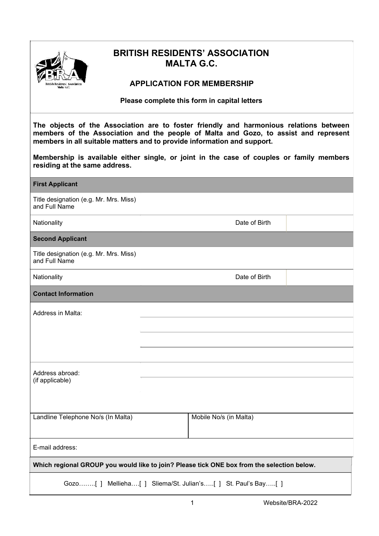

# BRITISH RESIDENTS' ASSOCIATION MALTA G.C.

## APPLICATION FOR MEMBERSHIP

Please complete this form in capital letters

The objects of the Association are to foster friendly and harmonious relations between members of the Association and the people of Malta and Gozo, to assist and represent members in all suitable matters and to provide information and support.

Membership is available either single, or joint in the case of couples or family members residing at the same address.

| <b>First Applicant</b>                                                                     |                        |  |  |  |
|--------------------------------------------------------------------------------------------|------------------------|--|--|--|
| Title designation (e.g. Mr. Mrs. Miss)<br>and Full Name                                    |                        |  |  |  |
| Nationality                                                                                | Date of Birth          |  |  |  |
| <b>Second Applicant</b>                                                                    |                        |  |  |  |
| Title designation (e.g. Mr. Mrs. Miss)<br>and Full Name                                    |                        |  |  |  |
| Nationality                                                                                | Date of Birth          |  |  |  |
| <b>Contact Information</b>                                                                 |                        |  |  |  |
| Address in Malta:                                                                          |                        |  |  |  |
|                                                                                            |                        |  |  |  |
|                                                                                            |                        |  |  |  |
|                                                                                            |                        |  |  |  |
| Address abroad:                                                                            |                        |  |  |  |
| (if applicable)                                                                            |                        |  |  |  |
|                                                                                            |                        |  |  |  |
| Landline Telephone No/s (In Malta)                                                         | Mobile No/s (in Malta) |  |  |  |
|                                                                                            |                        |  |  |  |
| E-mail address:                                                                            |                        |  |  |  |
| Which regional GROUP you would like to join? Please tick ONE box from the selection below. |                        |  |  |  |
| Gozo[ ] Mellieha[ ] Sliema/St. Julian's[ ] St. Paul's Bay[ ]                               |                        |  |  |  |